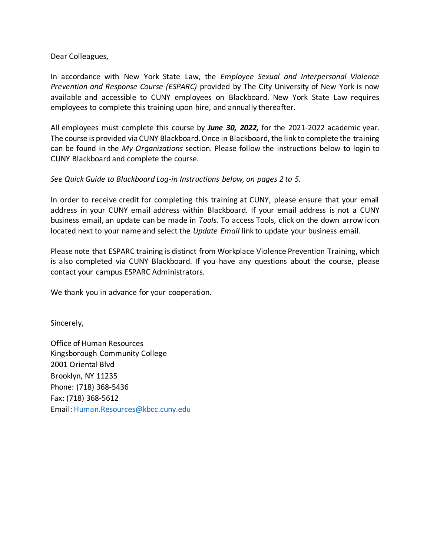Dear Colleagues,

In accordance with New York State Law, the *Employee Sexual and Interpersonal Violence Prevention and Response Course (ESPARC)* provided by The City University of New York is now available and accessible to CUNY employees on Blackboard. New York State Law requires employees to complete this training upon hire, and annually thereafter.

All employees must complete this course by *June 30, 2022,* for the 2021-2022 academic year. The course is provided via CUNY Blackboard. Once in Blackboard, the link to complete the training can be found in the *My Organizations* section. Please follow the instructions below to login to CUNY Blackboard and complete the course.

## *See Quick Guide to Blackboard Log-in Instructions below, on pages 2 to 5.*

In order to receive credit for completing this training at CUNY, please ensure that your email address in your CUNY email address within Blackboard. If your email address is not a CUNY business email, an update can be made in *Tools*. To access Tools, click on the down arrow icon located next to your name and select the *Update Email* link to update your business email.

Please note that ESPARC training is distinct from Workplace Violence Prevention Training, which is also completed via CUNY Blackboard. If you have any questions about the course, please contact your campus ESPARC Administrators.

We thank you in advance for your cooperation.

Sincerely,

Office of Human Resources Kingsborough Community College 2001 Oriental Blvd Brooklyn, NY 11235 Phone: (718) 368-5436 Fax: (718) 368-5612 Email: Human.Resources@kbcc.cuny.edu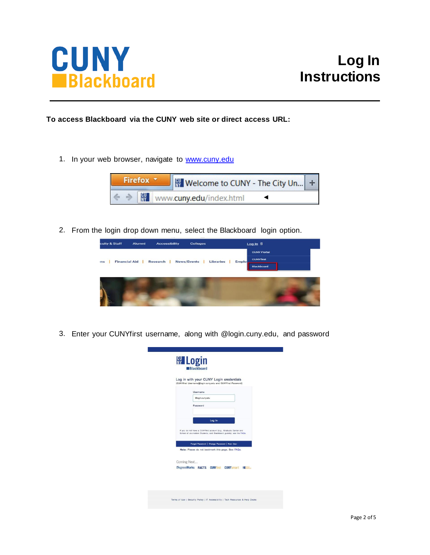

**To access Blackboard via the CUNY web site or direct access URL:**

1. In your web browser, navigate to [www.cuny.edu](http://www.cuny.edu/)



2. From the login drop down menu, select the Blackboard login option.



3. Enter your CUNYfirst username, along with @login.cuny.edu, and password

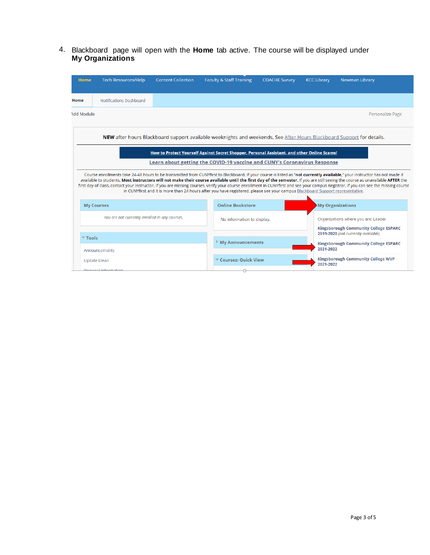4. Blackboard page will open with the **Home** tab active. The course will be displayed under **My Organizations**

| <b>Home</b>                                                                                                                                                                                                                                                                                                                                                                                                                                                                                                                                                                                                                                                                           | <b>Tech Resources/Help</b>                         | <b>Content Collection</b>  | <b>Faculty &amp; Staff Training</b> | <b>COACHE Survey</b>    | <b>KCC Library</b>                                                                  | <b>Newman Library</b>                                     |  |
|---------------------------------------------------------------------------------------------------------------------------------------------------------------------------------------------------------------------------------------------------------------------------------------------------------------------------------------------------------------------------------------------------------------------------------------------------------------------------------------------------------------------------------------------------------------------------------------------------------------------------------------------------------------------------------------|----------------------------------------------------|----------------------------|-------------------------------------|-------------------------|-------------------------------------------------------------------------------------|-----------------------------------------------------------|--|
| Home                                                                                                                                                                                                                                                                                                                                                                                                                                                                                                                                                                                                                                                                                  | Notifications Dashboard                            |                            |                                     |                         |                                                                                     |                                                           |  |
| <b>Add Module</b>                                                                                                                                                                                                                                                                                                                                                                                                                                                                                                                                                                                                                                                                     |                                                    |                            |                                     |                         |                                                                                     | <b>Personalize Page</b>                                   |  |
| NEW after hours Blackboard support available weeknights and weekends. See After Hours Blackboard Support for details.                                                                                                                                                                                                                                                                                                                                                                                                                                                                                                                                                                 |                                                    |                            |                                     |                         |                                                                                     |                                                           |  |
| How to Protect Yourself Against Secret Shopper, Personal Assistant, and other Online Scams!<br>Learn about getting the COVID-19 vaccine and CUNY's Coronavirus Response                                                                                                                                                                                                                                                                                                                                                                                                                                                                                                               |                                                    |                            |                                     |                         |                                                                                     |                                                           |  |
| Course enrollments take 24-48 hours to be transmitted from CUNYfirst to Blackboard. If your course is listed as "not currently available," your instructor has not made it<br>available to students. Most instructors will not make their course available until the first day of the semester. If you are still seeing the course as unavailable AFTER the<br>first day of class, contact your instructor. If you are missing courses, verify your course enrollment in CUNYfirst and see your campus Registrar. If you can see the missing course<br>in CUNYfirst and it is more than 24 hours after you have registered, please see your campus Blackboard Support representative. |                                                    |                            |                                     |                         |                                                                                     |                                                           |  |
|                                                                                                                                                                                                                                                                                                                                                                                                                                                                                                                                                                                                                                                                                       | <b>My Courses</b>                                  |                            | <b>Online Bookstore</b>             |                         |                                                                                     | My Organizations                                          |  |
| You are not currently enrolled in any courses.                                                                                                                                                                                                                                                                                                                                                                                                                                                                                                                                                                                                                                        |                                                    |                            | No information to display.          |                         | Organizations where you are: Leader<br><b>Kingsborough Community College ESPARC</b> |                                                           |  |
| $\overline{\phantom{a}}$ Tools                                                                                                                                                                                                                                                                                                                                                                                                                                                                                                                                                                                                                                                        |                                                    |                            |                                     |                         |                                                                                     | 2019-2020 (not currently available)                       |  |
|                                                                                                                                                                                                                                                                                                                                                                                                                                                                                                                                                                                                                                                                                       | Announcements                                      |                            |                                     | <b>My Announcements</b> |                                                                                     | <b>Kingsborough Community College ESPARC</b><br>2021-2022 |  |
|                                                                                                                                                                                                                                                                                                                                                                                                                                                                                                                                                                                                                                                                                       | <b>Update Email</b><br><b>Dorconal Information</b> | <b>Courses: Quick View</b> |                                     |                         | <b>Kingsborough Community College WVP</b><br>2021-2022                              |                                                           |  |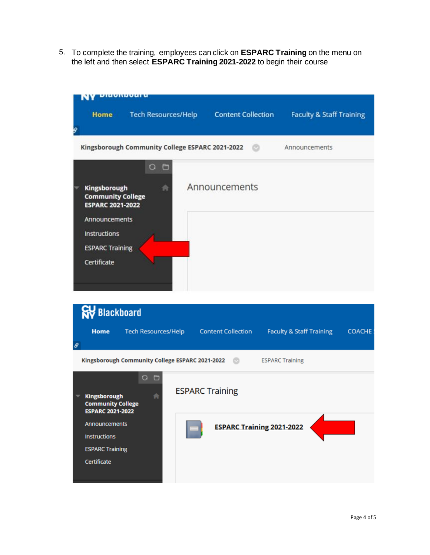5. To complete the training, employees can click on **ESPARC Training** on the menu on the left and then select **ESPARC Training 2021-2022** to begin their course